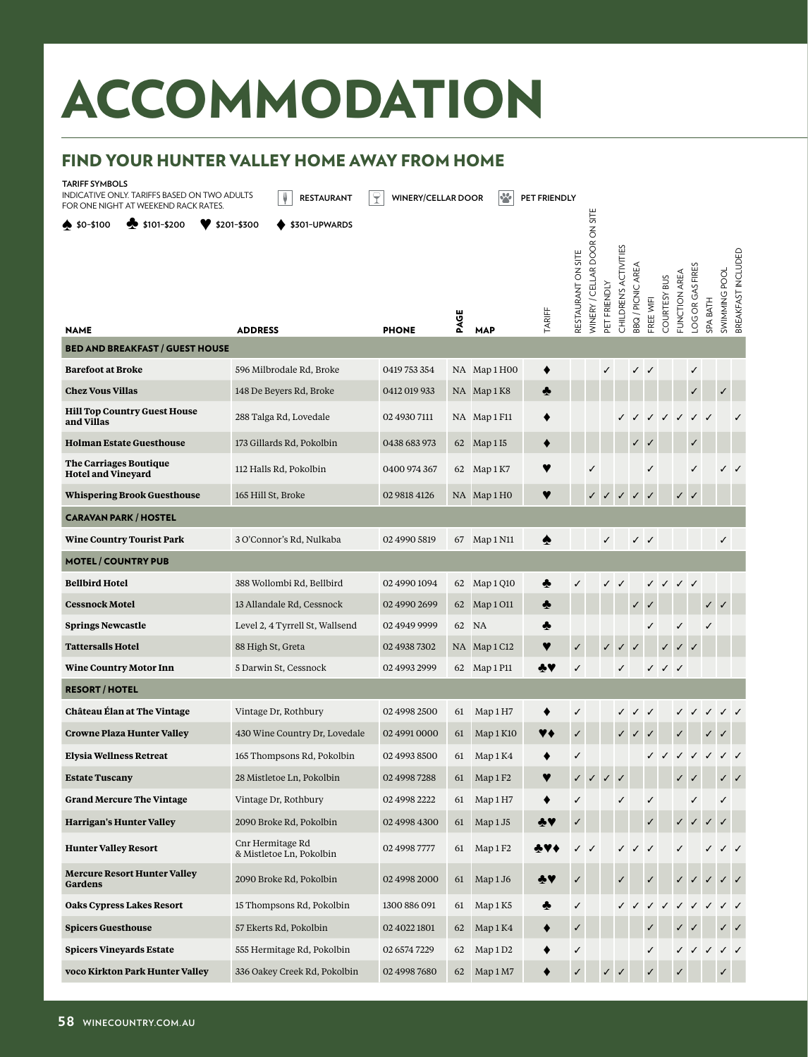## ACCOMMODATION ACCOMMODATION

## **FIND YOUR HUNTER VALLEY HOME AWAY FROM HOME** FIND YOUR HUNTER VALLEY HOME AWAY FROM HOME

**TARIFF SYMBOLS**

INDICATIVE ONLY. TARIFFS BASED ON TWO ADULTS FOR ONE NIGHT AT WEEKEND RACK RATES.

**RESTAURANT P** WINERY/CELLAR DOOR **PO** PET FRIENDLY

| -OR ONE NIGHT AT WEEKEND RACK RATES.<br>$\clubsuit$ \$0-\$100<br>\$101-\$200 | $$201-$300$<br>\$301-UPWARDS                 |              |      |                      |        |                    | WINERY / CELLAR DOOR ON SITE |              |                       |                   |              |              |               |                  |              |                                     |
|------------------------------------------------------------------------------|----------------------------------------------|--------------|------|----------------------|--------|--------------------|------------------------------|--------------|-----------------------|-------------------|--------------|--------------|---------------|------------------|--------------|-------------------------------------|
| <b>NAME</b>                                                                  | <b>ADDRESS</b>                               | <b>PHONE</b> | PAGE | <b>MAP</b>           | TARIFF | RESTAURANT ON SITE |                              | PET FRIENDLY | CHILDREN'S ACTIVITIES | BBQ / PICNIC AREA | FREE WIFI    | COURTESY BUS | FUNCTION AREA | LOG OR GAS FIRES | BATH<br>SPA  | BREAKFAST INCLUDED<br>SWIMMING POOL |
| <b>BED AND BREAKFAST / GUEST HOUSE</b>                                       |                                              |              |      |                      |        |                    |                              |              |                       |                   |              |              |               |                  |              |                                     |
| <b>Barefoot at Broke</b>                                                     | 596 Milbrodale Rd, Broke                     | 0419 753 354 |      | NA Map 1 H00         |        |                    |                              |              |                       |                   |              |              |               | ✓                |              |                                     |
| <b>Chez Vous Villas</b>                                                      | 148 De Beyers Rd, Broke                      | 0412 019 933 |      | NA Map1K8            |        |                    |                              |              |                       |                   |              |              |               |                  | ✓            |                                     |
| <b>Hill Top Country Guest House</b><br>and Villas                            | 288 Talga Rd, Lovedale                       | 02 4930 7111 |      | NA Map 1 F11         |        |                    |                              |              |                       |                   |              |              |               |                  |              |                                     |
| <b>Holman Estate Guesthouse</b>                                              | 173 Gillards Rd, Pokolbin                    | 0438 683 973 | 62   | Map 1 I5             |        |                    |                              |              |                       |                   |              |              |               |                  |              |                                     |
| <b>The Carriages Boutique</b><br><b>Hotel and Vineyard</b>                   | 112 Halls Rd, Pokolbin                       | 0400 974 367 | 62   | Map 1 K7             | Y      |                    |                              |              |                       |                   | J            |              |               |                  |              |                                     |
| <b>Whispering Brook Guesthouse</b>                                           | 165 Hill St, Broke                           | 02 9818 4126 |      | NA Map 1 HO          | ♥      |                    |                              |              |                       | $\checkmark$      | $\checkmark$ |              | $\checkmark$  |                  |              |                                     |
| <b>CARAVAN PARK / HOSTEL</b>                                                 |                                              |              |      |                      |        |                    |                              |              |                       |                   |              |              |               |                  |              |                                     |
| <b>Wine Country Tourist Park</b>                                             | 3 O'Connor's Rd, Nulkaba                     | 02 4990 5819 |      | 67 Map 1 N11         | ♠      |                    |                              | √            |                       | $\checkmark$      |              |              |               |                  | $\checkmark$ |                                     |
| <b>MOTEL / COUNTRY PUB</b>                                                   |                                              |              |      |                      |        |                    |                              |              |                       |                   |              |              |               |                  |              |                                     |
| <b>Bellbird Hotel</b>                                                        | 388 Wollombi Rd, Bellbird                    | 02 4990 1094 | 62   | Map 1 Q10            | ♣      |                    |                              |              |                       |                   |              |              |               |                  |              |                                     |
| <b>Cessnock Motel</b>                                                        | 13 Allandale Rd, Cessnock                    | 02 4990 2699 | 62   | Map 1 011            | ♣      |                    |                              |              |                       |                   |              |              |               |                  |              |                                     |
| <b>Springs Newcastle</b>                                                     | Level 2, 4 Tyrrell St, Wallsend              | 02 4949 9999 | 62   | NA                   | ♣      |                    |                              |              |                       |                   |              |              |               |                  |              |                                     |
| <b>Tattersalls Hotel</b>                                                     | 88 High St, Greta                            | 02 4938 7302 |      | NA Map 1 C12         |        | ✓                  |                              |              |                       |                   |              |              |               |                  |              |                                     |
| <b>Wine Country Motor Inn</b>                                                | 5 Darwin St, Cessnock                        | 02 4993 2999 |      | 62 Map 1 P11         | ÷٧     | ✓                  |                              |              |                       |                   | ✓            | ✓            | $\checkmark$  |                  |              |                                     |
| <b>RESORT/HOTEL</b>                                                          |                                              |              |      |                      |        |                    |                              |              |                       |                   |              |              |               |                  |              |                                     |
| Château Élan at The Vintage                                                  | Vintage Dr, Rothbury                         | 02 4998 2500 | 61   | Map 1 H7             |        | ✓                  |                              |              |                       |                   | ✓            |              |               |                  |              |                                     |
| <b>Crowne Plaza Hunter Valley</b>                                            | 430 Wine Country Dr, Lovedale                | 02 4991 0000 | 61   | Map 1 K10            | Y ł    | ✓                  |                              |              |                       |                   |              |              |               |                  |              |                                     |
| <b>Elysia Wellness Retreat</b>                                               | 165 Thompsons Rd, Pokolbin                   | 02 4993 8500 | 61   | Map 1 K4             |        | ✓                  |                              |              |                       |                   |              |              |               |                  |              |                                     |
| <b>Estate Tuscany</b>                                                        | 28 Mistletoe Ln, Pokolbin                    | 02 4998 7288 | 61   | Map 1 F <sub>2</sub> | Y      | ✓                  |                              |              |                       |                   |              |              |               |                  |              |                                     |
| <b>Grand Mercure The Vintage</b>                                             | Vintage Dr, Rothbury                         | 02 4998 2222 | 61   | Map 1 H7             |        | ✓                  |                              |              | J                     |                   | √            |              |               | √                | ✓            |                                     |
| <b>Harrigan's Hunter Valley</b>                                              | 2090 Broke Rd, Pokolbin                      | 02 4998 4300 | 61   | Map 1 J5             |        |                    |                              |              |                       |                   |              |              |               |                  |              |                                     |
| <b>Hunter Valley Resort</b>                                                  | Cnr Hermitage Rd<br>& Mistletoe Ln, Pokolbin | 02 4998 7777 | 61   | Map 1 F <sub>2</sub> |        |                    | ✓                            |              |                       |                   |              |              |               |                  |              |                                     |
| <b>Mercure Resort Hunter Valley</b><br><b>Gardens</b>                        | 2090 Broke Rd, Pokolbin                      | 02 4998 2000 | 61   | Map 1 J6             | ÷٧     | ✓                  |                              |              |                       |                   |              |              |               |                  |              |                                     |
| <b>Oaks Cypress Lakes Resort</b>                                             | 15 Thompsons Rd, Pokolbin                    | 1300 886 091 | 61   | Map 1 K5             | ♣      | ✓                  |                              |              |                       |                   |              |              |               |                  |              |                                     |
| <b>Spicers Guesthouse</b>                                                    | 57 Ekerts Rd, Pokolbin                       | 02 4022 1801 | 62   | Map 1 K4             | ٠      | √                  |                              |              |                       |                   |              |              |               |                  |              |                                     |
| <b>Spicers Vineyards Estate</b>                                              | 555 Hermitage Rd, Pokolbin                   | 02 6574 7229 | 62   | Map 1D2              |        | ✓                  |                              |              |                       |                   | ✓            |              |               |                  |              | $\checkmark$                        |
| voco Kirkton Park Hunter Valley                                              | 336 Oakey Creek Rd, Pokolbin                 | 02 4998 7680 |      | 62 Map 1 M7          |        | $\checkmark$       |                              |              | $\sqrt{2}$            |                   |              |              |               |                  |              |                                     |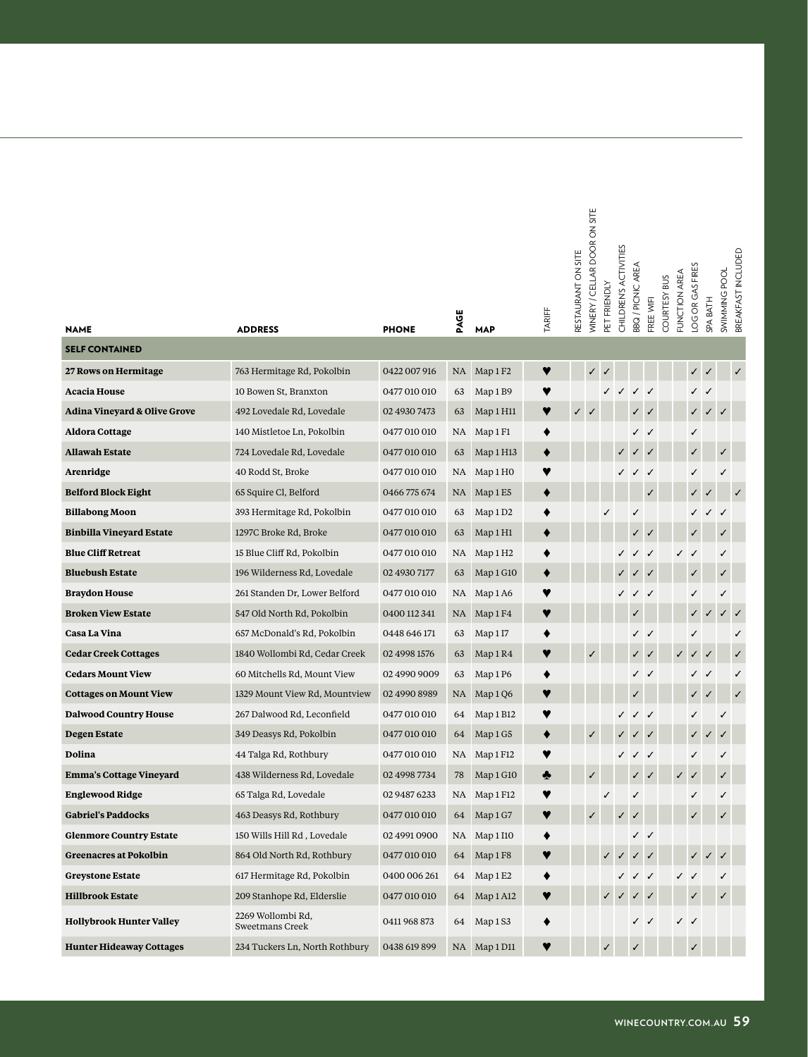|                                             |                                      |              | PAGE |                      | TARIFF | RESTAURANT ON SITE | <b>MINERY / CELLAR DOOR ON SITE</b> | PET FRIENDLY | CHILDREN'S ACTIVITIES | BBQ / PICNIC AREA | FREE WIFI    | COURTESY BUS | FUNCTION AREA | LOG OR GAS FIRES | <b>SPA BATH</b> | SWIMMING POOL | BREAKFAST INCLUDED |
|---------------------------------------------|--------------------------------------|--------------|------|----------------------|--------|--------------------|-------------------------------------|--------------|-----------------------|-------------------|--------------|--------------|---------------|------------------|-----------------|---------------|--------------------|
| <b>NAME</b><br><b>SELF CONTAINED</b>        | <b>ADDRESS</b>                       | <b>PHONE</b> |      | <b>MAP</b>           |        |                    |                                     |              |                       |                   |              |              |               |                  |                 |               |                    |
|                                             |                                      |              |      |                      |        |                    |                                     |              |                       |                   |              |              |               |                  |                 |               |                    |
| 27 Rows on Hermitage<br><b>Acacia House</b> | 763 Hermitage Rd, Pokolbin           | 0422 007 916 | NA   | Map 1 F <sub>2</sub> | Y      |                    | $\checkmark$                        |              |                       |                   |              |              |               | ✓                | $\checkmark$    |               | ✓                  |
|                                             | 10 Bowen St, Branxton                | 0477 010 010 | 63   | Map 1 B9             | Y      |                    |                                     |              | ✓                     | ✓                 | $\checkmark$ |              |               | ✓                | $\checkmark$    |               |                    |
| <b>Adina Vineyard &amp; Olive Grove</b>     | 492 Lovedale Rd, Lovedale            | 02 4930 7473 | 63   | Map 1 H11            | ♥      | ✓                  |                                     |              |                       |                   |              |              |               | ✓                | $\checkmark$    |               |                    |
| <b>Aldora Cottage</b>                       | 140 Mistletoe Ln, Pokolbin           | 0477 010 010 | NA   | Map 1 F1             |        |                    |                                     |              |                       |                   |              |              |               | ✓                |                 |               |                    |
| <b>Allawah Estate</b>                       | 724 Lovedale Rd, Lovedale            | 0477 010 010 | 63   | Map 1 H13            |        |                    |                                     |              |                       |                   |              |              |               | ✓                |                 | ✓             |                    |
| Arenridge                                   | 40 Rodd St, Broke                    | 0477 010 010 | NA   | Map 1 H <sub>0</sub> | Y      |                    |                                     |              |                       |                   | √            |              |               | ✓                |                 | ✓             |                    |
| <b>Belford Block Eight</b>                  | 65 Squire Cl, Belford                | 0466 775 674 | NA   | Map 1E5              |        |                    |                                     |              |                       |                   |              |              |               |                  |                 |               |                    |
| <b>Billabong Moon</b>                       | 393 Hermitage Rd, Pokolbin           | 0477 010 010 | 63   | Map 1D2              | ٠      |                    |                                     |              |                       |                   |              |              |               |                  |                 |               |                    |
| <b>Binbilla Vineyard Estate</b>             | 1297C Broke Rd, Broke                | 0477 010 010 | 63   | Map 1H1              |        |                    |                                     |              |                       |                   |              |              |               |                  |                 |               |                    |
| <b>Blue Cliff Retreat</b>                   | 15 Blue Cliff Rd, Pokolbin           | 0477 010 010 | NA   | Map 1 H <sub>2</sub> | ٠      |                    |                                     |              |                       | $\checkmark$      | $\checkmark$ |              |               |                  |                 | ✓             |                    |
| <b>Bluebush Estate</b>                      | 196 Wilderness Rd, Lovedale          | 02 4930 7177 | 63   | Map 1 G10            |        |                    |                                     |              |                       |                   |              |              |               | $\checkmark$     |                 | ✓             |                    |
| <b>Braydon House</b>                        | 261 Standen Dr, Lower Belford        | 0477 010 010 | NA   | Map 1A6              |        |                    |                                     |              |                       |                   | $\checkmark$ |              |               | ✓                |                 | √             |                    |
| <b>Broken View Estate</b>                   | 547 Old North Rd, Pokolbin           | 0400 112 341 | NA   | Map 1 F4             | ♥      |                    |                                     |              |                       |                   |              |              |               | $\checkmark$     |                 |               |                    |
| Casa La Vina                                | 657 McDonald's Rd, Pokolbin          | 0448 646 171 | 63   | Map 1I7              | ٠      |                    |                                     |              |                       | ✓                 | $\checkmark$ |              |               | ✓                |                 |               | ✓                  |
| <b>Cedar Creek Cottages</b>                 | 1840 Wollombi Rd, Cedar Creek        | 02 4998 1576 | 63   | Map 1R4              | ♥      |                    |                                     |              |                       |                   |              |              |               | $\checkmark$     | $\checkmark$    |               |                    |
| <b>Cedars Mount View</b>                    | 60 Mitchells Rd, Mount View          | 02 4990 9009 | 63   | Map 1 P6             | ٠      |                    |                                     |              |                       |                   | $\checkmark$ |              |               | ✓                | $\checkmark$    |               | ✓                  |
| <b>Cottages on Mount View</b>               | 1329 Mount View Rd, Mountview        | 02 4990 8989 | NA   | Map 1 Q6             |        |                    |                                     |              |                       |                   |              |              |               |                  |                 |               |                    |
| <b>Dalwood Country House</b>                | 267 Dalwood Rd, Leconfield           | 0477 010 010 | 64   | Map 1 B12            | Y      |                    |                                     |              | ✓                     | ✓                 |              |              |               | ✓                |                 | ✓             |                    |
| <b>Degen Estate</b>                         | 349 Deasys Rd, Pokolbin              | 0477 010 010 | 64   | Map 1 G5             | ٠      |                    | $\checkmark$                        |              |                       |                   |              |              |               |                  |                 |               |                    |
| Dolina                                      | 44 Talga Rd, Rothbury                | 0477 010 010 | NA   | Map 1 F12            |        |                    |                                     |              |                       | ✓                 | $\checkmark$ |              |               | ✓                |                 | ✓             |                    |
| <b>Emma's Cottage Vineyard</b>              | 438 Wilderness Rd, Lovedale          | 02 4998 7734 | 78   | Map 1 G10            | ♣      |                    | $\checkmark$                        |              |                       |                   |              |              | ✓             |                  |                 | $\checkmark$  |                    |
| <b>Englewood Ridge</b>                      | 65 Talga Rd, Lovedale                | 02 9487 6233 | NA   | Map 1 F12            |        |                    |                                     |              |                       |                   |              |              |               | ℐ                |                 | ✓             |                    |
| <b>Gabriel's Paddocks</b>                   | 463 Deasys Rd, Rothbury              | 0477 010 010 | 64   | Map 1 G7             |        |                    |                                     |              |                       |                   |              |              |               |                  |                 |               |                    |
| <b>Glenmore Country Estate</b>              | 150 Wills Hill Rd, Lovedale          | 02 4991 0900 | NA   | Map 1 I10            |        |                    |                                     |              |                       | ✓                 | $\checkmark$ |              |               |                  |                 |               |                    |
| <b>Greenacres at Pokolbin</b>               | 864 Old North Rd, Rothbury           | 0477 010 010 | 64   | Map 1 F8             | Y      |                    |                                     |              |                       |                   |              |              |               |                  |                 |               |                    |
| <b>Greystone Estate</b>                     | 617 Hermitage Rd, Pokolbin           | 0400 006 261 | 64   | Map 1 E2             |        |                    |                                     |              |                       |                   | $\checkmark$ |              |               |                  |                 | ✓             |                    |
| <b>Hillbrook Estate</b>                     | 209 Stanhope Rd, Elderslie           | 0477 010 010 | 64   | Map 1 A12            |        |                    |                                     |              |                       |                   |              |              |               |                  |                 | ✓             |                    |
| <b>Hollybrook Hunter Valley</b>             | 2269 Wollombi Rd,<br>Sweetmans Creek | 0411 968 873 | 64   | Map 1 S3             | ◆      |                    |                                     |              |                       |                   |              |              |               | ✓                |                 |               |                    |
| <b>Hunter Hideaway Cottages</b>             | 234 Tuckers Ln, North Rothbury       | 0438 619 899 |      | NA Map 1 D11         |        |                    |                                     |              |                       |                   |              |              |               |                  |                 |               |                    |